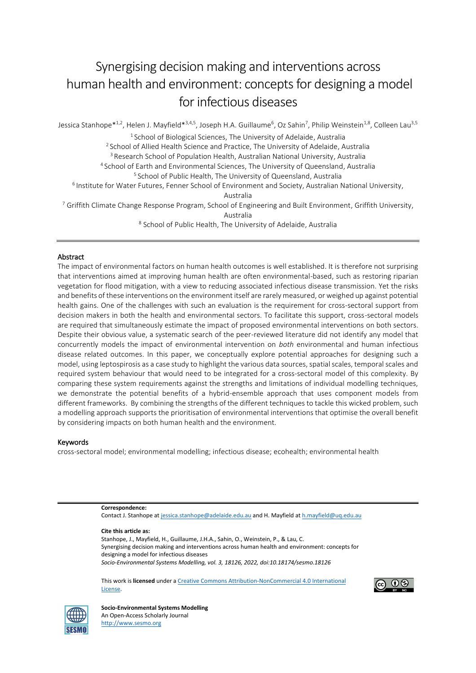# Synergising decision making and interventions across human health and environment: concepts for designing a model for infectious diseases

Jessica Stanhope $^{\ast1,2}$ , Helen J. Mayfield $^{\ast3,4,5}$ , Joseph H.A. Guillaume<sup>6</sup>, Oz Sahin<sup>7</sup>, Philip Weinstein<sup>1,8</sup>, Colleen Lau<sup>3,5</sup> 1 School of Biological Sciences, The University of Adelaide, Australia <sup>2</sup> School of Allied Health Science and Practice, The University of Adelaide, Australia <sup>3</sup> Research School of Population Health, Australian National University, Australia <sup>4</sup> School of Earth and Environmental Sciences, The University of Queensland, Australia <sup>5</sup> School of Public Health, The University of Queensland, Australia <sup>6</sup> Institute for Water Futures, Fenner School of Environment and Society, Australian National University, Australia <sup>7</sup> Griffith Climate Change Response Program, School of Engineering and Built Environment, Griffith University, Australia 8 School of Public Health, The University of Adelaide, Australia

#### Abstract

The impact of environmental factors on human health outcomes is well established. It is therefore not surprising that interventions aimed at improving human health are often environmental-based, such as restoring riparian vegetation for flood mitigation, with a view to reducing associated infectious disease transmission. Yet the risks and benefits of these interventions on the environment itself are rarely measured, or weighed up against potential health gains. One of the challenges with such an evaluation is the requirement for cross-sectoral support from decision makers in both the health and environmental sectors. To facilitate this support, cross-sectoral models are required that simultaneously estimate the impact of proposed environmental interventions on both sectors. Despite their obvious value, a systematic search of the peer-reviewed literature did not identify any model that concurrently models the impact of environmental intervention on *both* environmental and human infectious disease related outcomes. In this paper, we conceptually explore potential approaches for designing such a model, using leptospirosis as a case study to highlight the various data sources, spatial scales, temporal scales and required system behaviour that would need to be integrated for a cross-sectoral model of this complexity. By comparing these system requirements against the strengths and limitations of individual modelling techniques, we demonstrate the potential benefits of a hybrid-ensemble approach that uses component models from different frameworks. By combining the strengths of the different techniques to tackle this wicked problem, such a modelling approach supports the prioritisation of environmental interventions that optimise the overall benefit by considering impacts on both human health and the environment.

#### Keywords

cross-sectoral model; environmental modelling; infectious disease; ecohealth; environmental health

**Correspondence:**  Contact J. Stanhope a[t jessica.stanhope@adelaide.edu.au](mailto:jessica.stanhope@adelaide.edu.au) and H. Mayfield a[t h.mayfield@uq.edu.au](mailto:h.mayfield@uq.edu.au)

**Cite this article as:** Stanhope, J., Mayfield, H., Guillaume, J.H.A., Sahin, O., Weinstein, P., & Lau, C. Synergising decision making and interventions across human health and environment: concepts for designing a model for infectious diseases *Socio-Environmental Systems Modelling, vol. 3, 18126, 2022, doi:10.18174/sesmo.18126*

This work is **licensed** under [a Creative Commons Attribution-NonCommercial 4.0 International](http://creativecommons.org/licenses/by-nc/4.0/)  [License.](http://creativecommons.org/licenses/by-nc/4.0/)





**Socio-Environmental Systems Modelling**  An Open-Access Scholarly Journal [http://www.sesmo.org](http://www.sesmo.org/)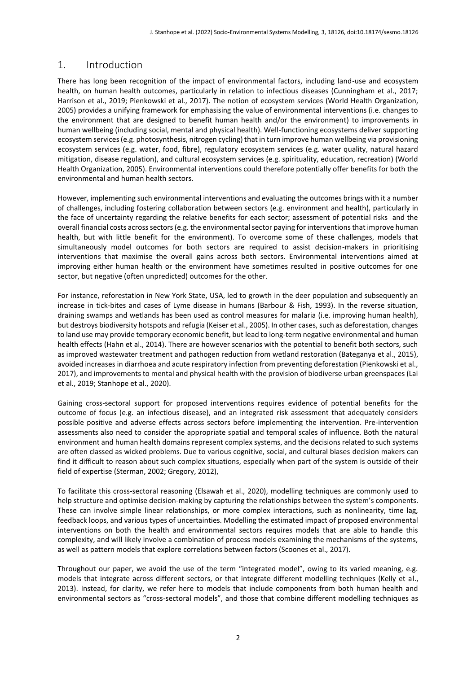# 1. Introduction

There has long been recognition of the impact of environmental factors, including land-use and ecosystem health, on human health outcomes, particularly in relation to infectious diseases (Cunningham et al., 2017; Harrison et al., 2019; Pienkowski et al., 2017). The notion of ecosystem services (World Health Organization, 2005) provides a unifying framework for emphasising the value of environmental interventions (i.e. changes to the environment that are designed to benefit human health and/or the environment) to improvements in human wellbeing (including social, mental and physical health). Well-functioning ecosystems deliver supporting ecosystem services (e.g. photosynthesis, nitrogen cycling) that in turn improve human wellbeing via provisioning ecosystem services (e.g. water, food, fibre), regulatory ecosystem services (e.g. water quality, natural hazard mitigation, disease regulation), and cultural ecosystem services (e.g. spirituality, education, recreation) (World Health Organization, 2005). Environmental interventions could therefore potentially offer benefits for both the environmental and human health sectors.

However, implementing such environmental interventions and evaluating the outcomes brings with it a number of challenges, including fostering collaboration between sectors (e.g. environment and health), particularly in the face of uncertainty regarding the relative benefits for each sector; assessment of potential risks and the overall financial costs across sectors (e.g. the environmental sector paying for interventions that improve human health, but with little benefit for the environment). To overcome some of these challenges, models that simultaneously model outcomes for both sectors are required to assist decision-makers in prioritising interventions that maximise the overall gains across both sectors. Environmental interventions aimed at improving either human health or the environment have sometimes resulted in positive outcomes for one sector, but negative (often unpredicted) outcomes for the other.

For instance, reforestation in New York State, USA, led to growth in the deer population and subsequently an increase in tick-bites and cases of Lyme disease in humans (Barbour & Fish, 1993). In the reverse situation, draining swamps and wetlands has been used as control measures for malaria (i.e. improving human health), but destroys biodiversity hotspots and refugia (Keiser et al., 2005). In other cases, such as deforestation, changes to land use may provide temporary economic benefit, but lead to long-term negative environmental and human health effects (Hahn et al., 2014). There are however scenarios with the potential to benefit both sectors, such as improved wastewater treatment and pathogen reduction from wetland restoration (Bateganya et al., 2015), avoided increases in diarrhoea and acute respiratory infection from preventing deforestation (Pienkowski et al., 2017), and improvements to mental and physical health with the provision of biodiverse urban greenspaces (Lai et al., 2019; Stanhope et al., 2020).

Gaining cross-sectoral support for proposed interventions requires evidence of potential benefits for the outcome of focus (e.g. an infectious disease), and an integrated risk assessment that adequately considers possible positive and adverse effects across sectors before implementing the intervention. Pre-intervention assessments also need to consider the appropriate spatial and temporal scales of influence. Both the natural environment and human health domains represent complex systems, and the decisions related to such systems are often classed as wicked problems. Due to various cognitive, social, and cultural biases decision makers can find it difficult to reason about such complex situations, especially when part of the system is outside of their field of expertise (Sterman, 2002; Gregory, 2012),

To facilitate this cross-sectoral reasoning (Elsawah et al., 2020), modelling techniques are commonly used to help structure and optimise decision-making by capturing the relationships between the system's components. These can involve simple linear relationships, or more complex interactions, such as nonlinearity, time lag, feedback loops, and various types of uncertainties. Modelling the estimated impact of proposed environmental interventions on both the health and environmental sectors requires models that are able to handle this complexity, and will likely involve a combination of process models examining the mechanisms of the systems, as well as pattern models that explore correlations between factors (Scoones et al., 2017).

Throughout our paper, we avoid the use of the term "integrated model", owing to its varied meaning, e.g. models that integrate across different sectors, or that integrate different modelling techniques (Kelly et al., 2013). Instead, for clarity, we refer here to models that include components from both human health and environmental sectors as "cross-sectoral models", and those that combine different modelling techniques as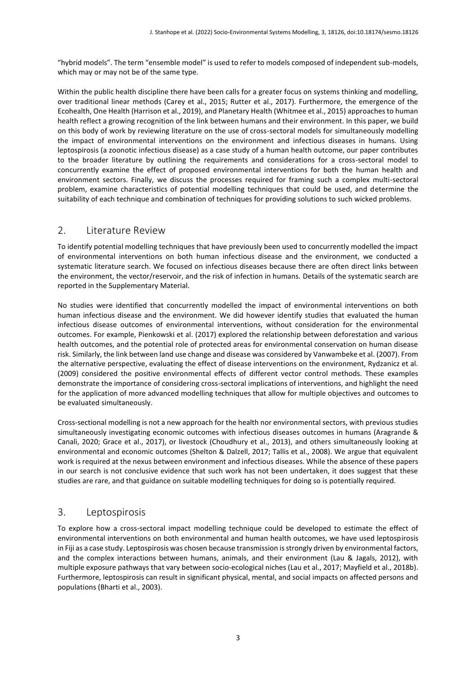"hybrid models". The term "ensemble model" is used to refer to models composed of independent sub-models, which may or may not be of the same type.

Within the public health discipline there have been calls for a greater focus on systems thinking and modelling, over traditional linear methods (Carey et al., 2015; Rutter et al., 2017). Furthermore, the emergence of the Ecohealth, One Health (Harrison et al., 2019), and Planetary Health (Whitmee et al., 2015) approaches to human health reflect a growing recognition of the link between humans and their environment. In this paper, we build on this body of work by reviewing literature on the use of cross-sectoral models for simultaneously modelling the impact of environmental interventions on the environment and infectious diseases in humans. Using leptospirosis (a zoonotic infectious disease) as a case study of a human health outcome, our paper contributes to the broader literature by outlining the requirements and considerations for a cross-sectoral model to concurrently examine the effect of proposed environmental interventions for both the human health and environment sectors. Finally, we discuss the processes required for framing such a complex multi-sectoral problem, examine characteristics of potential modelling techniques that could be used, and determine the suitability of each technique and combination of techniques for providing solutions to such wicked problems.

## 2. Literature Review

To identify potential modelling techniques that have previously been used to concurrently modelled the impact of environmental interventions on both human infectious disease and the environment, we conducted a systematic literature search. We focused on infectious diseases because there are often direct links between the environment, the vector/reservoir, and the risk of infection in humans. Details of the systematic search are reported in the Supplementary Material.

No studies were identified that concurrently modelled the impact of environmental interventions on both human infectious disease and the environment. We did however identify studies that evaluated the human infectious disease outcomes of environmental interventions, without consideration for the environmental outcomes. For example, Pienkowski et al. (2017) explored the relationship between deforestation and various health outcomes, and the potential role of protected areas for environmental conservation on human disease risk. Similarly, the link between land use change and disease was considered by Vanwambeke et al. (2007). From the alternative perspective, evaluating the effect of disease interventions on the environment, Rydzanicz et al. (2009) considered the positive environmental effects of different vector control methods. These examples demonstrate the importance of considering cross-sectoral implications of interventions, and highlight the need for the application of more advanced modelling techniques that allow for multiple objectives and outcomes to be evaluated simultaneously.

Cross-sectional modelling is not a new approach for the health nor environmental sectors, with previous studies simultaneously investigating economic outcomes with infectious diseases outcomes in humans (Aragrande & Canali, 2020; Grace et al., 2017), or livestock (Choudhury et al., 2013), and others simultaneously looking at environmental and economic outcomes (Shelton & Dalzell, 2017; Tallis et al., 2008). We argue that equivalent work is required at the nexus between environment and infectious diseases. While the absence of these papers in our search is not conclusive evidence that such work has not been undertaken, it does suggest that these studies are rare, and that guidance on suitable modelling techniques for doing so is potentially required.

#### 3. Leptospirosis

To explore how a cross-sectoral impact modelling technique could be developed to estimate the effect of environmental interventions on both environmental and human health outcomes, we have used leptospirosis in Fiji as a case study. Leptospirosis was chosen because transmission is strongly driven by environmental factors, and the complex interactions between humans, animals, and their environment (Lau & Jagals, 2012), with multiple exposure pathways that vary between socio-ecological niches (Lau et al., 2017; Mayfield et al., 2018b). Furthermore, leptospirosis can result in significant physical, mental, and social impacts on affected persons and populations (Bharti et al., 2003).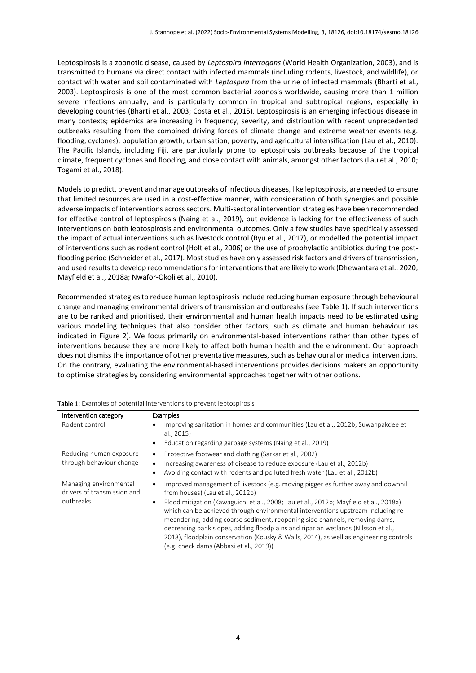Leptospirosis is a zoonotic disease, caused by *Leptospira interrogans* (World Health Organization, 2003), and is transmitted to humans via direct contact with infected mammals (including rodents, livestock, and wildlife), or contact with water and soil contaminated with *Leptospira* from the urine of infected mammals (Bharti et al., 2003). Leptospirosis is one of the most common bacterial zoonosis worldwide, causing more than 1 million severe infections annually, and is particularly common in tropical and subtropical regions, especially in developing countries (Bharti et al., 2003; Costa et al., 2015). Leptospirosis is an emerging infectious disease in many contexts; epidemics are increasing in frequency, severity, and distribution with recent unprecedented outbreaks resulting from the combined driving forces of climate change and extreme weather events (e.g. flooding, cyclones), population growth, urbanisation, poverty, and agricultural intensification (Lau et al., 2010). The Pacific Islands, including Fiji, are particularly prone to leptospirosis outbreaks because of the tropical climate, frequent cyclones and flooding, and close contact with animals, amongst other factors (Lau et al., 2010; Togami et al., 2018).

Models to predict, prevent and manage outbreaks of infectious diseases, like leptospirosis, are needed to ensure that limited resources are used in a cost-effective manner, with consideration of both synergies and possible adverse impacts of interventions across sectors. Multi-sectoral intervention strategies have been recommended for effective control of leptospirosis (Naing et al., 2019), but evidence is lacking for the effectiveness of such interventions on both leptospirosis and environmental outcomes. Only a few studies have specifically assessed the impact of actual interventions such as livestock control (Ryu et al., 2017), or modelled the potential impact of interventions such as rodent control (Holt et al., 2006) or the use of prophylactic antibiotics during the postflooding period (Schneider et al., 2017). Most studies have only assessed risk factors and drivers of transmission, and used results to develop recommendations for interventions that are likely to work (Dhewantara et al., 2020; Mayfield et al., 2018a; Nwafor-Okoli et al., 2010).

Recommended strategies to reduce human leptospirosis include reducing human exposure through behavioural change and managing environmental drivers of transmission and outbreaks (see Table 1). If such interventions are to be ranked and prioritised, their environmental and human health impacts need to be estimated using various modelling techniques that also consider other factors, such as climate and human behaviour (as indicated in Figure 2). We focus primarily on environmental-based interventions rather than other types of interventions because they are more likely to affect both human health and the environment. Our approach does not dismiss the importance of other preventative measures, such as behavioural or medical interventions. On the contrary, evaluating the environmental-based interventions provides decisions makers an opportunity to optimise strategies by considering environmental approaches together with other options.

| Intervention category                                              | <b>Examples</b>                                                                                                                                                                                                                                                                                                                                                                                                                                                                                                                                                                                             |  |  |
|--------------------------------------------------------------------|-------------------------------------------------------------------------------------------------------------------------------------------------------------------------------------------------------------------------------------------------------------------------------------------------------------------------------------------------------------------------------------------------------------------------------------------------------------------------------------------------------------------------------------------------------------------------------------------------------------|--|--|
| Rodent control                                                     | Improving sanitation in homes and communities (Lau et al., 2012b; Suwanpakdee et<br>al., 2015)<br>Education regarding garbage systems (Naing et al., 2019)                                                                                                                                                                                                                                                                                                                                                                                                                                                  |  |  |
| Reducing human exposure<br>through behaviour change                | Protective footwear and clothing (Sarkar et al., 2002)<br>Increasing awareness of disease to reduce exposure (Lau et al., 2012b)<br>Avoiding contact with rodents and polluted fresh water (Lau et al., 2012b)<br>$\bullet$                                                                                                                                                                                                                                                                                                                                                                                 |  |  |
| Managing environmental<br>drivers of transmission and<br>outbreaks | Improved management of livestock (e.g. moving piggeries further away and downhill<br>from houses) (Lau et al., 2012b)<br>Flood mitigation (Kawaguichi et al., 2008; Lau et al., 2012b; Mayfield et al., 2018a)<br>which can be achieved through environmental interventions upstream including re-<br>meandering, adding coarse sediment, reopening side channels, removing dams,<br>decreasing bank slopes, adding floodplains and riparian wetlands (Nilsson et al.,<br>2018), floodplain conservation (Kousky & Walls, 2014), as well as engineering controls<br>(e.g. check dams (Abbasi et al., 2019)) |  |  |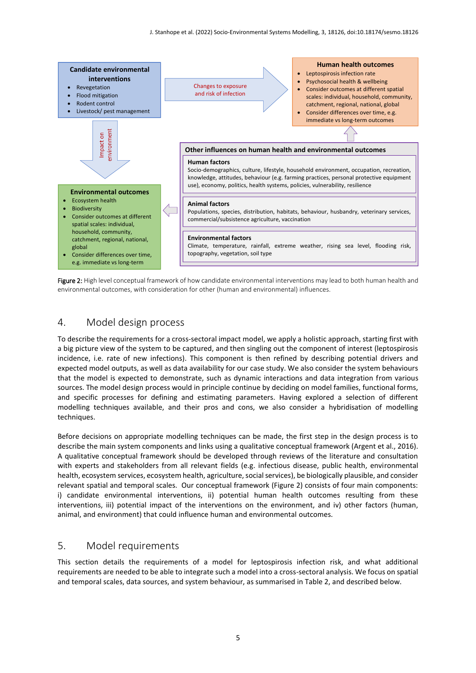

Figure 2: High level conceptual framework of how candidate environmental interventions may lead to both human health and environmental outcomes, with consideration for other (human and environmental) influences.

## 4. Model design process

To describe the requirements for a cross-sectoral impact model, we apply a holistic approach, starting first with a big picture view of the system to be captured, and then singling out the component of interest (leptospirosis incidence, i.e. rate of new infections). This component is then refined by describing potential drivers and expected model outputs, as well as data availability for our case study. We also consider the system behaviours that the model is expected to demonstrate, such as dynamic interactions and data integration from various sources. The model design process would in principle continue by deciding on model families, functional forms, and specific processes for defining and estimating parameters. Having explored a selection of different modelling techniques available, and their pros and cons, we also consider a hybridisation of modelling techniques.

Before decisions on appropriate modelling techniques can be made, the first step in the design process is to describe the main system components and links using a qualitative conceptual framework (Argent et al., 2016). A qualitative conceptual framework should be developed through reviews of the literature and consultation with experts and stakeholders from all relevant fields (e.g. infectious disease, public health, environmental health, ecosystem services, ecosystem health, agriculture, social services), be biologically plausible, and consider relevant spatial and temporal scales. Our conceptual framework (Figure 2) consists of four main components: i) candidate environmental interventions, ii) potential human health outcomes resulting from these interventions, iii) potential impact of the interventions on the environment, and iv) other factors (human, animal, and environment) that could influence human and environmental outcomes.

#### 5. Model requirements

This section details the requirements of a model for leptospirosis infection risk, and what additional requirements are needed to be able to integrate such a model into a cross-sectoral analysis. We focus on spatial and temporal scales, data sources, and system behaviour, as summarised in Table 2, and described below.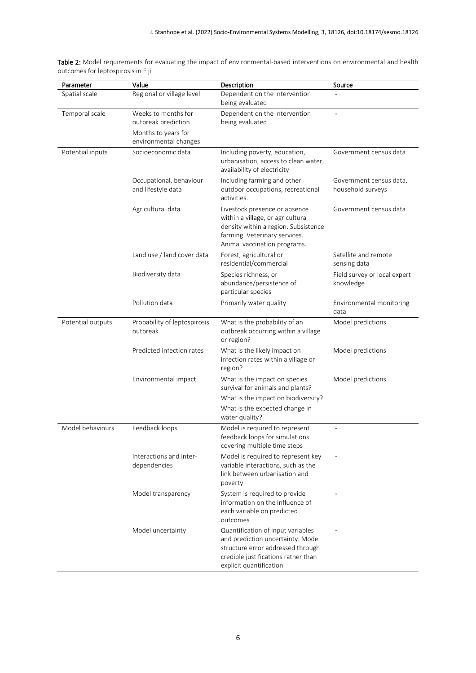| Parameter         | Value                                                                                      | Description                                                                                                                                                                   | Source                                       |
|-------------------|--------------------------------------------------------------------------------------------|-------------------------------------------------------------------------------------------------------------------------------------------------------------------------------|----------------------------------------------|
| Spatial scale     | Regional or village level                                                                  | Dependent on the intervention<br>being evaluated                                                                                                                              |                                              |
| Temporal scale    | Weeks to months for<br>outbreak prediction<br>Months to years for<br>environmental changes | Dependent on the intervention<br>being evaluated                                                                                                                              | ÷,                                           |
| Potential inputs  | Socioeconomic data                                                                         | Including poverty, education,<br>urbanisation, access to clean water,<br>availability of electricity                                                                          | Government census data                       |
|                   | Occupational, behaviour<br>and lifestyle data                                              | Including farming and other<br>outdoor occupations, recreational<br>activities.                                                                                               | Government census data,<br>household surveys |
|                   | Agricultural data                                                                          | Livestock presence or absence<br>within a village, or agricultural<br>density within a region. Subsistence<br>farming. Veterinary services.<br>Animal vaccination programs.   | Government census data                       |
|                   | Land use / land cover data                                                                 | Forest, agricultural or<br>residential/commercial                                                                                                                             | Satellite and remote<br>sensing data         |
|                   | Biodiversity data                                                                          | Species richness, or<br>abundance/persistence of<br>particular species                                                                                                        | Field survey or local expert<br>knowledge    |
|                   | Pollution data                                                                             | Primarily water quality                                                                                                                                                       | Environmental monitoring<br>data             |
| Potential outputs | Probability of leptospirosis<br>outbreak                                                   | What is the probability of an<br>outbreak occurring within a village<br>or region?                                                                                            | Model predictions                            |
|                   | Predicted infection rates                                                                  | What is the likely impact on<br>infection rates within a village or<br>region?                                                                                                | Model predictions                            |
|                   | Environmental impact                                                                       | What is the impact on species<br>survival for animals and plants?<br>What is the impact on biodiversity?<br>What is the expected change in<br>water quality?                  | Model predictions                            |
| Model behaviours  | Feedback loops                                                                             | Model is required to represent<br>feedback loops for simulations<br>covering multiple time steps                                                                              |                                              |
|                   | Interactions and inter-<br>dependencies                                                    | Model is required to represent key<br>variable interactions, such as the<br>link between urbanisation and<br>poverty                                                          |                                              |
|                   | Model transparency                                                                         | System is required to provide<br>information on the influence of<br>each variable on predicted<br>outcomes                                                                    |                                              |
|                   | Model uncertainty                                                                          | Quantification of input variables<br>and prediction uncertainty. Model<br>structure error addressed through<br>credible justifications rather than<br>explicit quantification |                                              |

Table 2: Model requirements for evaluating the impact of environmental-based interventions on environmental and health outcomes for leptospirosis in Fiji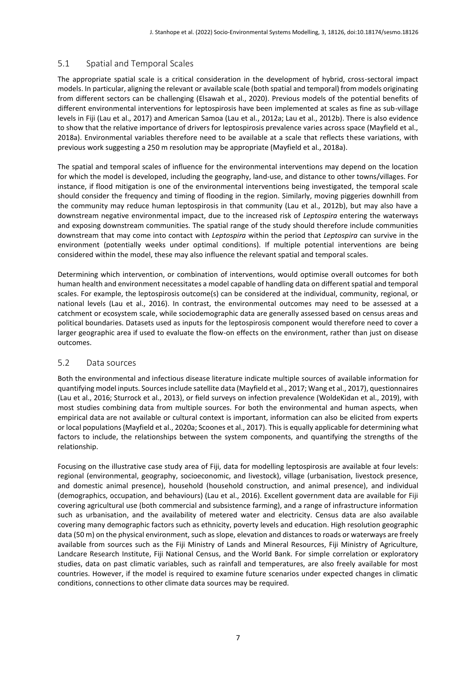#### 5.1 Spatial and Temporal Scales

The appropriate spatial scale is a critical consideration in the development of hybrid, cross-sectoral impact models. In particular, aligning the relevant or available scale (both spatial and temporal) from models originating from different sectors can be challenging (Elsawah et al., 2020). Previous models of the potential benefits of different environmental interventions for leptospirosis have been implemented at scales as fine as sub-village levels in Fiji (Lau et al., 2017) and American Samoa (Lau et al., 2012a; Lau et al., 2012b). There is also evidence to show that the relative importance of drivers for leptospirosis prevalence varies across space (Mayfield et al., 2018a). Environmental variables therefore need to be available at a scale that reflects these variations, with previous work suggesting a 250 m resolution may be appropriate (Mayfield et al., 2018a).

The spatial and temporal scales of influence for the environmental interventions may depend on the location for which the model is developed, including the geography, land-use, and distance to other towns/villages. For instance, if flood mitigation is one of the environmental interventions being investigated, the temporal scale should consider the frequency and timing of flooding in the region. Similarly, moving piggeries downhill from the community may reduce human leptospirosis in that community (Lau et al., 2012b), but may also have a downstream negative environmental impact, due to the increased risk of *Leptospira* entering the waterways and exposing downstream communities. The spatial range of the study should therefore include communities downstream that may come into contact with *Leptospira* within the period that *Leptospira* can survive in the environment (potentially weeks under optimal conditions). If multiple potential interventions are being considered within the model, these may also influence the relevant spatial and temporal scales.

Determining which intervention, or combination of interventions, would optimise overall outcomes for both human health and environment necessitates a model capable of handling data on different spatial and temporal scales. For example, the leptospirosis outcome(s) can be considered at the individual, community, regional, or national levels (Lau et al., 2016). In contrast, the environmental outcomes may need to be assessed at a catchment or ecosystem scale, while sociodemographic data are generally assessed based on census areas and political boundaries. Datasets used as inputs for the leptospirosis component would therefore need to cover a larger geographic area if used to evaluate the flow-on effects on the environment, rather than just on disease outcomes.

#### 5.2 Data sources

Both the environmental and infectious disease literature indicate multiple sources of available information for quantifying model inputs. Sources include satellite data (Mayfield et al., 2017; Wang et al., 2017), questionnaires (Lau et al., 2016; Sturrock et al., 2013), or field surveys on infection prevalence (WoldeKidan et al., 2019), with most studies combining data from multiple sources. For both the environmental and human aspects, when empirical data are not available or cultural context is important, information can also be elicited from experts or local populations (Mayfield et al., 2020a; Scoones et al., 2017). This is equally applicable for determining what factors to include, the relationships between the system components, and quantifying the strengths of the relationship.

Focusing on the illustrative case study area of Fiji, data for modelling leptospirosis are available at four levels: regional (environmental, geography, socioeconomic, and livestock), village (urbanisation, livestock presence, and domestic animal presence), household (household construction, and animal presence), and individual (demographics, occupation, and behaviours) (Lau et al., 2016). Excellent government data are available for Fiji covering agricultural use (both commercial and subsistence farming), and a range of infrastructure information such as urbanisation, and the availability of metered water and electricity. Census data are also available covering many demographic factors such as ethnicity, poverty levels and education. High resolution geographic data (50 m) on the physical environment, such as slope, elevation and distances to roads or waterways are freely available from sources such as the Fiji Ministry of Lands and Mineral Resources, Fiji Ministry of Agriculture, Landcare Research Institute, Fiji National Census, and the World Bank. For simple correlation or exploratory studies, data on past climatic variables, such as rainfall and temperatures, are also freely available for most countries. However, if the model is required to examine future scenarios under expected changes in climatic conditions, connections to other climate data sources may be required.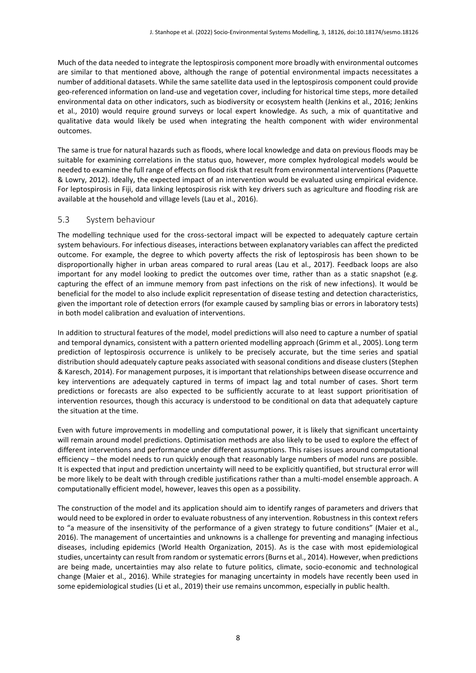Much of the data needed to integrate the leptospirosis component more broadly with environmental outcomes are similar to that mentioned above, although the range of potential environmental impacts necessitates a number of additional datasets. While the same satellite data used in the leptospirosis component could provide geo-referenced information on land-use and vegetation cover, including for historical time steps, more detailed environmental data on other indicators, such as biodiversity or ecosystem health (Jenkins et al., 2016; Jenkins et al., 2010) would require ground surveys or local expert knowledge. As such, a mix of quantitative and qualitative data would likely be used when integrating the health component with wider environmental outcomes.

The same is true for natural hazards such as floods, where local knowledge and data on previous floods may be suitable for examining correlations in the status quo, however, more complex hydrological models would be needed to examine the full range of effects on flood risk that result from environmental interventions (Paquette & Lowry, 2012). Ideally, the expected impact of an intervention would be evaluated using empirical evidence. For leptospirosis in Fiji, data linking leptospirosis risk with key drivers such as agriculture and flooding risk are available at the household and village levels (Lau et al., 2016).

#### 5.3 System behaviour

The modelling technique used for the cross-sectoral impact will be expected to adequately capture certain system behaviours. For infectious diseases, interactions between explanatory variables can affect the predicted outcome. For example, the degree to which poverty affects the risk of leptospirosis has been shown to be disproportionally higher in urban areas compared to rural areas (Lau et al., 2017). Feedback loops are also important for any model looking to predict the outcomes over time, rather than as a static snapshot (e.g. capturing the effect of an immune memory from past infections on the risk of new infections). It would be beneficial for the model to also include explicit representation of disease testing and detection characteristics, given the important role of detection errors (for example caused by sampling bias or errors in laboratory tests) in both model calibration and evaluation of interventions.

In addition to structural features of the model, model predictions will also need to capture a number of spatial and temporal dynamics, consistent with a pattern oriented modelling approach (Grimm et al., 2005). Long term prediction of leptospirosis occurrence is unlikely to be precisely accurate, but the time series and spatial distribution should adequately capture peaks associated with seasonal conditions and disease clusters (Stephen & Karesch, 2014). For management purposes, it is important that relationships between disease occurrence and key interventions are adequately captured in terms of impact lag and total number of cases. Short term predictions or forecasts are also expected to be sufficiently accurate to at least support prioritisation of intervention resources, though this accuracy is understood to be conditional on data that adequately capture the situation at the time.

Even with future improvements in modelling and computational power, it is likely that significant uncertainty will remain around model predictions. Optimisation methods are also likely to be used to explore the effect of different interventions and performance under different assumptions. This raises issues around computational efficiency – the model needs to run quickly enough that reasonably large numbers of model runs are possible. It is expected that input and prediction uncertainty will need to be explicitly quantified, but structural error will be more likely to be dealt with through credible justifications rather than a multi-model ensemble approach. A computationally efficient model, however, leaves this open as a possibility.

The construction of the model and its application should aim to identify ranges of parameters and drivers that would need to be explored in order to evaluate robustness of any intervention. Robustness in this context refers to "a measure of the insensitivity of the performance of a given strategy to future conditions" (Maier et al., 2016). The management of uncertainties and unknowns is a challenge for preventing and managing infectious diseases, including epidemics (World Health Organization, 2015). As is the case with most epidemiological studies, uncertainty can result from random or systematic errors (Burns et al., 2014). However, when predictions are being made, uncertainties may also relate to future politics, climate, socio-economic and technological change (Maier et al., 2016). While strategies for managing uncertainty in models have recently been used in some epidemiological studies (Li et al., 2019) their use remains uncommon, especially in public health.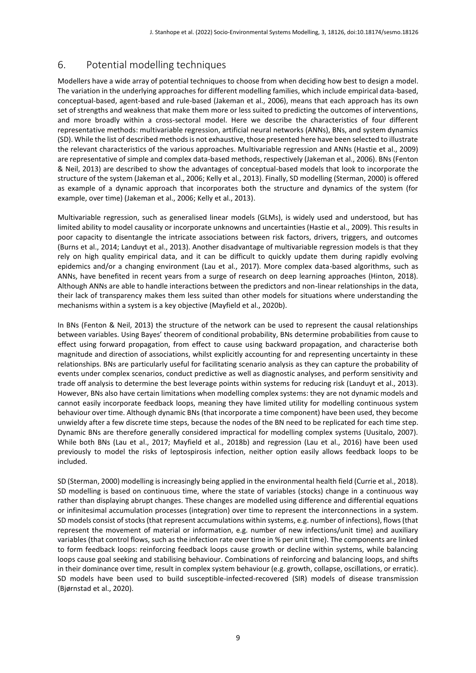# 6. Potential modelling techniques

Modellers have a wide array of potential techniques to choose from when deciding how best to design a model. The variation in the underlying approaches for different modelling families, which include empirical data-based, conceptual-based, agent-based and rule-based (Jakeman et al., 2006), means that each approach has its own set of strengths and weakness that make them more or less suited to predicting the outcomes of interventions, and more broadly within a cross-sectoral model. Here we describe the characteristics of four different representative methods: multivariable regression, artificial neural networks (ANNs), BNs, and system dynamics (SD). While the list of described methods is not exhaustive, those presented here have been selected to illustrate the relevant characteristics of the various approaches. Multivariable regression and ANNs (Hastie et al., 2009) are representative of simple and complex data-based methods, respectively (Jakeman et al., 2006). BNs (Fenton & Neil, 2013) are described to show the advantages of conceptual-based models that look to incorporate the structure of the system (Jakeman et al., 2006; Kelly et al., 2013). Finally, SD modelling (Sterman, 2000) is offered as example of a dynamic approach that incorporates both the structure and dynamics of the system (for example, over time) (Jakeman et al., 2006; Kelly et al., 2013).

Multivariable regression, such as generalised linear models (GLMs), is widely used and understood, but has limited ability to model causality or incorporate unknowns and uncertainties (Hastie et al., 2009). This results in poor capacity to disentangle the intricate associations between risk factors, drivers, triggers, and outcomes (Burns et al., 2014; Landuyt et al., 2013). Another disadvantage of multivariable regression models is that they rely on high quality empirical data, and it can be difficult to quickly update them during rapidly evolving epidemics and/or a changing environment (Lau et al., 2017). More complex data-based algorithms, such as ANNs, have benefited in recent years from a surge of research on deep learning approaches (Hinton, 2018). Although ANNs are able to handle interactions between the predictors and non-linear relationships in the data, their lack of transparency makes them less suited than other models for situations where understanding the mechanisms within a system is a key objective (Mayfield et al., 2020b).

In BNs (Fenton & Neil, 2013) the structure of the network can be used to represent the causal relationships between variables. Using Bayes' theorem of conditional probability, BNs determine probabilities from cause to effect using forward propagation, from effect to cause using backward propagation, and characterise both magnitude and direction of associations, whilst explicitly accounting for and representing uncertainty in these relationships. BNs are particularly useful for facilitating scenario analysis as they can capture the probability of events under complex scenarios, conduct predictive as well as diagnostic analyses, and perform sensitivity and trade off analysis to determine the best leverage points within systems for reducing risk (Landuyt et al., 2013). However, BNs also have certain limitations when modelling complex systems: they are not dynamic models and cannot easily incorporate feedback loops, meaning they have limited utility for modelling continuous system behaviour over time. Although dynamic BNs (that incorporate a time component) have been used, they become unwieldy after a few discrete time steps, because the nodes of the BN need to be replicated for each time step. Dynamic BNs are therefore generally considered impractical for modelling complex systems (Uusitalo, 2007). While both BNs (Lau et al., 2017; Mayfield et al., 2018b) and regression (Lau et al., 2016) have been used previously to model the risks of leptospirosis infection, neither option easily allows feedback loops to be included.

SD (Sterman, 2000) modelling is increasingly being applied in the environmental health field (Currie et al., 2018). SD modelling is based on continuous time, where the state of variables (stocks) change in a continuous way rather than displaying abrupt changes. These changes are modelled using difference and differential equations or infinitesimal accumulation processes (integration) over time to represent the interconnections in a system. SD models consist of stocks (that represent accumulations within systems, e.g. number of infections), flows (that represent the movement of material or information, e.g. number of new infections/unit time) and auxiliary variables (that control flows, such as the infection rate over time in % per unit time). The components are linked to form feedback loops: reinforcing feedback loops cause growth or decline within systems, while balancing loops cause goal seeking and stabilising behaviour. Combinations of reinforcing and balancing loops, and shifts in their dominance over time, result in complex system behaviour (e.g. growth, collapse, oscillations, or erratic). SD models have been used to build susceptible-infected-recovered (SIR) models of disease transmission (Bjørnstad et al., 2020).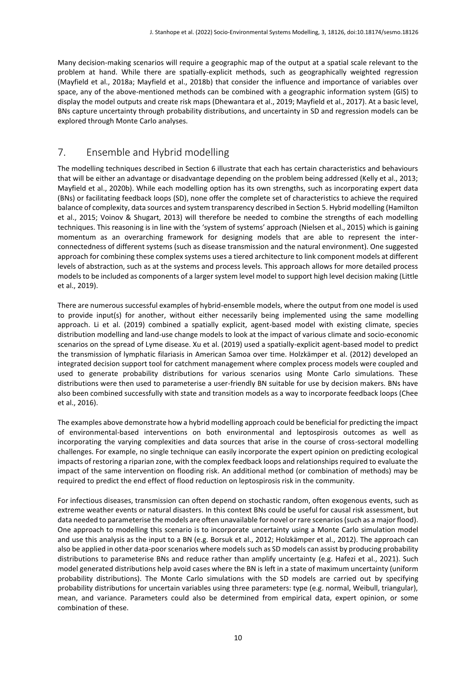Many decision-making scenarios will require a geographic map of the output at a spatial scale relevant to the problem at hand. While there are spatially-explicit methods, such as geographically weighted regression (Mayfield et al., 2018a; Mayfield et al., 2018b) that consider the influence and importance of variables over space, any of the above-mentioned methods can be combined with a geographic information system (GIS) to display the model outputs and create risk maps (Dhewantara et al., 2019; Mayfield et al., 2017). At a basic level, BNs capture uncertainty through probability distributions, and uncertainty in SD and regression models can be explored through Monte Carlo analyses.

# 7. Ensemble and Hybrid modelling

The modelling techniques described in Section 6 illustrate that each has certain characteristics and behaviours that will be either an advantage or disadvantage depending on the problem being addressed (Kelly et al., 2013; Mayfield et al., 2020b). While each modelling option has its own strengths, such as incorporating expert data (BNs) or facilitating feedback loops (SD), none offer the complete set of characteristics to achieve the required balance of complexity, data sources and system transparency described in Section 5. Hybrid modelling (Hamilton et al., 2015; Voinov & Shugart, 2013) will therefore be needed to combine the strengths of each modelling techniques. This reasoning is in line with the 'system of systems' approach (Nielsen et al., 2015) which is gaining momentum as an overarching framework for designing models that are able to represent the interconnectedness of different systems (such as disease transmission and the natural environment). One suggested approach for combining these complex systems uses a tiered architecture to link component models at different levels of abstraction, such as at the systems and process levels. This approach allows for more detailed process models to be included as components of a larger system level model to support high level decision making (Little et al., 2019).

There are numerous successful examples of hybrid-ensemble models, where the output from one model is used to provide input(s) for another, without either necessarily being implemented using the same modelling approach. Li et al. (2019) combined a spatially explicit, agent-based model with existing climate, species distribution modelling and land-use change models to look at the impact of various climate and socio-economic scenarios on the spread of Lyme disease. Xu et al. (2019) used a spatially-explicit agent-based model to predict the transmission of lymphatic filariasis in American Samoa over time. Holzkämper et al. (2012) developed an integrated decision support tool for catchment management where complex process models were coupled and used to generate probability distributions for various scenarios using Monte Carlo simulations. These distributions were then used to parameterise a user-friendly BN suitable for use by decision makers. BNs have also been combined successfully with state and transition models as a way to incorporate feedback loops (Chee et al., 2016).

The examples above demonstrate how a hybrid modelling approach could be beneficial for predicting the impact of environmental-based interventions on both environmental and leptospirosis outcomes as well as incorporating the varying complexities and data sources that arise in the course of cross-sectoral modelling challenges. For example, no single technique can easily incorporate the expert opinion on predicting ecological impacts of restoring a riparian zone, with the complex feedback loops and relationships required to evaluate the impact of the same intervention on flooding risk. An additional method (or combination of methods) may be required to predict the end effect of flood reduction on leptospirosis risk in the community.

For infectious diseases, transmission can often depend on stochastic random, often exogenous events, such as extreme weather events or natural disasters. In this context BNs could be useful for causal risk assessment, but data needed to parameterise the models are often unavailable for novel or rare scenarios(such as a major flood). One approach to modelling this scenario is to incorporate uncertainty using a Monte Carlo simulation model and use this analysis as the input to a BN (e.g. Borsuk et al., 2012; Holzkämper et al., 2012). The approach can also be applied in other data-poor scenarios where models such as SD models can assist by producing probability distributions to parameterise BNs and reduce rather than amplify uncertainty (e.g. Hafezi et al., 2021). Such model generated distributions help avoid cases where the BN is left in a state of maximum uncertainty (uniform probability distributions). The Monte Carlo simulations with the SD models are carried out by specifying probability distributions for uncertain variables using three parameters: type (e.g. normal, Weibull, triangular), mean, and variance. Parameters could also be determined from empirical data, expert opinion, or some combination of these.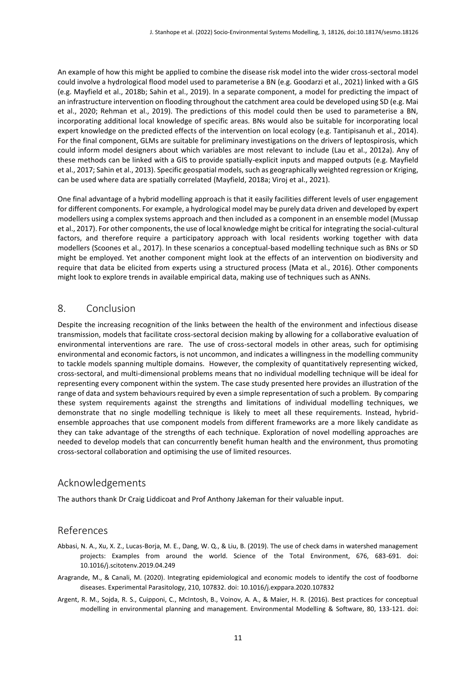An example of how this might be applied to combine the disease risk model into the wider cross-sectoral model could involve a hydrological flood model used to parameterise a BN (e.g. Goodarzi et al., 2021) linked with a GIS (e.g. Mayfield et al., 2018b; Sahin et al., 2019). In a separate component, a model for predicting the impact of an infrastructure intervention on flooding throughout the catchment area could be developed using SD (e.g. Mai et al., 2020; Rehman et al., 2019). The predictions of this model could then be used to parameterise a BN, incorporating additional local knowledge of specific areas. BNs would also be suitable for incorporating local expert knowledge on the predicted effects of the intervention on local ecology (e.g. Tantipisanuh et al., 2014). For the final component, GLMs are suitable for preliminary investigations on the drivers of leptospirosis, which could inform model designers about which variables are most relevant to include (Lau et al., 2012a). Any of these methods can be linked with a GIS to provide spatially-explicit inputs and mapped outputs (e.g. Mayfield et al., 2017; Sahin et al., 2013). Specific geospatial models, such as geographically weighted regression or Kriging, can be used where data are spatially correlated (Mayfield, 2018a; Viroj et al., 2021).

One final advantage of a hybrid modelling approach is that it easily facilities different levels of user engagement for different components. For example, a hydrological model may be purely data driven and developed by expert modellers using a complex systems approach and then included as a component in an ensemble model (Mussap et al., 2017). For other components, the use of local knowledge might be critical for integrating the social-cultural factors, and therefore require a participatory approach with local residents working together with data modellers (Scoones et al., 2017). In these scenarios a conceptual-based modelling technique such as BNs or SD might be employed. Yet another component might look at the effects of an intervention on biodiversity and require that data be elicited from experts using a structured process (Mata et al., 2016). Other components might look to explore trends in available empirical data, making use of techniques such as ANNs.

## 8. Conclusion

Despite the increasing recognition of the links between the health of the environment and infectious disease transmission, models that facilitate cross-sectoral decision making by allowing for a collaborative evaluation of environmental interventions are rare. The use of cross-sectoral models in other areas, such for optimising environmental and economic factors, is not uncommon, and indicates a willingness in the modelling community to tackle models spanning multiple domains. However, the complexity of quantitatively representing wicked, cross-sectoral, and multi-dimensional problems means that no individual modelling technique will be ideal for representing every component within the system. The case study presented here provides an illustration of the range of data and system behaviours required by even a simple representation of such a problem. By comparing these system requirements against the strengths and limitations of individual modelling techniques, we demonstrate that no single modelling technique is likely to meet all these requirements. Instead, hybridensemble approaches that use component models from different frameworks are a more likely candidate as they can take advantage of the strengths of each technique. Exploration of novel modelling approaches are needed to develop models that can concurrently benefit human health and the environment, thus promoting cross-sectoral collaboration and optimising the use of limited resources.

## Acknowledgements

The authors thank Dr Craig Liddicoat and Prof Anthony Jakeman for their valuable input.

#### References

- Abbasi, N. A., Xu, X. Z., Lucas-Borja, M. E., Dang, W. Q., & Liu, B. (2019). The use of check dams in watershed management projects: Examples from around the world. Science of the Total Environment, 676, 683-691. doi: 10.1016/j.scitotenv.2019.04.249
- Aragrande, M., & Canali, M. (2020). Integrating epidemiological and economic models to identify the cost of foodborne diseases. Experimental Parasitology, 210, 107832. doi: 10.1016/j.exppara.2020.107832
- Argent, R. M., Sojda, R. S., Cuipponi, C., McIntosh, B., Voinov, A. A., & Maier, H. R. (2016). Best practices for conceptual modelling in environmental planning and management. Environmental Modelling & Software, 80, 133-121. doi: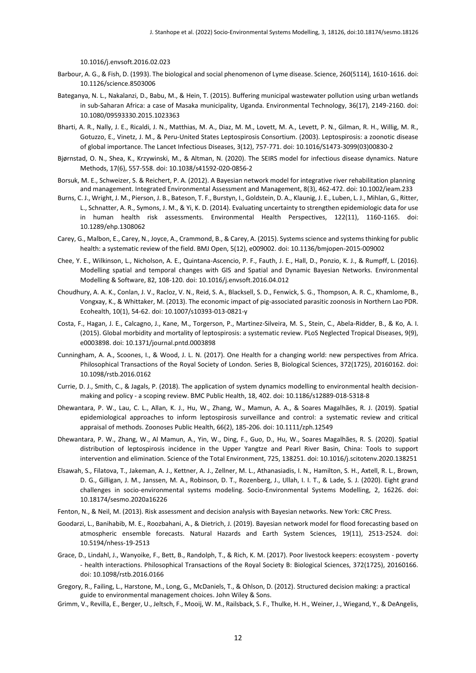10.1016/j.envsoft.2016.02.023

- Barbour, A. G., & Fish, D. (1993). The biological and social phenomenon of Lyme disease. Science, 260(5114), 1610-1616. doi: 10.1126/science.8503006
- Bateganya, N. L., Nakalanzi, D., Babu, M., & Hein, T. (2015). Buffering municipal wastewater pollution using urban wetlands in sub-Saharan Africa: a case of Masaka municipality, Uganda. Environmental Technology, 36(17), 2149-2160. doi: 10.1080/09593330.2015.1023363
- Bharti, A. R., Nally, J. E., Ricaldi, J. N., Matthias, M. A., Diaz, M. M., Lovett, M. A., Levett, P. N., Gilman, R. H., Willig, M. R., Gotuzzo, E., Vinetz, J. M., & Peru-United States Leptospirosis Consortium. (2003). Leptospirosis: a zoonotic disease of global importance. The Lancet Infectious Diseases, 3(12), 757-771. doi: 10.1016/S1473-3099(03)00830-2
- Bjørnstad, O. N., Shea, K., Krzywinski, M., & Altman, N. (2020). The SEIRS model for infectious disease dynamics. Nature Methods, 17(6), 557-558. doi: 10.1038/s41592-020-0856-2
- Borsuk, M. E., Schweizer, S. & Reichert, P. A. (2012). A Bayesian network model for integrative river rehabilitation planning and management. Integrated Environmental Assessment and Management, 8(3), 462-472. doi: 10.1002/ieam.233
- Burns, C. J., Wright, J. M., Pierson, J. B., Bateson, T. F., Burstyn, I., Goldstein, D. A., Klaunig, J. E., Luben, L. J., Mihlan, G., Ritter, L., Schnatter, A. R., Symons, J. M., & Yi, K. D. (2014). Evaluating uncertainty to strengthen epidemiologic data for use in human health risk assessments. Environmental Health Perspectives, 122(11), 1160-1165. doi: 10.1289/ehp.1308062
- Carey, G., Malbon, E., Carey, N., Joyce, A., Crammond, B., & Carey, A. (2015). Systems science and systems thinking for public health: a systematic review of the field. BMJ Open, 5(12), e009002. doi: 10.1136/bmjopen-2015-009002
- Chee, Y. E., Wilkinson, L., Nicholson, A. E., Quintana-Ascencio, P. F., Fauth, J. E., Hall, D., Ponzio, K. J., & Rumpff, L. (2016). Modelling spatial and temporal changes with GIS and Spatial and Dynamic Bayesian Networks. Environmental Modelling & Software, 82, 108-120. doi: 10.1016/j.envsoft.2016.04.012
- Choudhury, A. A. K., Conlan, J. V., Racloz, V. N., Reid, S. A., Blacksell, S. D., Fenwick, S. G., Thompson, A. R. C., Khamlome, B., Vongxay, K., & Whittaker, M. (2013). The economic impact of pig-associated parasitic zoonosis in Northern Lao PDR. Ecohealth, 10(1), 54-62. doi: 10.1007/s10393-013-0821-y
- Costa, F., Hagan, J. E., Calcagno, J., Kane, M., Torgerson, P., Martinez-Silveira, M. S., Stein, C., Abela-Ridder, B., & Ko, A. I. (2015). Global morbidity and mortality of leptospirosis: a systematic review. PLoS Neglected Tropical Diseases, 9(9), e0003898. doi: 10.1371/journal.pntd.0003898
- Cunningham, A. A., Scoones, I., & Wood, J. L. N. (2017). One Health for a changing world: new perspectives from Africa. Philosophical Transactions of the Royal Society of London. Series B, Biological Sciences, 372(1725), 20160162. doi: 10.1098/rstb.2016.0162
- Currie, D. J., Smith, C., & Jagals, P. (2018). The application of system dynamics modelling to environmental health decisionmaking and policy - a scoping review. BMC Public Health, 18, 402. doi: 10.1186/s12889-018-5318-8
- Dhewantara, P. W., Lau, C. L., Allan, K. J., Hu, W., Zhang, W., Mamun, A. A., & Soares Magalhães, R. J. (2019). Spatial epidemiological approaches to inform leptospirosis surveillance and control: a systematic review and critical appraisal of methods. Zoonoses Public Health, 66(2), 185-206. doi: 10.1111/zph.12549
- Dhewantara, P. W., Zhang, W., Al Mamun, A., Yin, W., Ding, F., Guo, D., Hu, W., Soares Magalhães, R. S. (2020). Spatial distribution of leptospirosis incidence in the Upper Yangtze and Pearl River Basin, China: Tools to support intervention and elimination. Science of the Total Environment, 725, 138251. doi: 10.1016/j.scitotenv.2020.138251
- Elsawah, S., Filatova, T., Jakeman, A. J., Kettner, A. J., Zellner, M. L., Athanasiadis, I. N., Hamilton, S. H., Axtell, R. L., Brown, D. G., Gilligan, J. M., Janssen, M. A., Robinson, D. T., Rozenberg, J., Ullah, I. I. T., & Lade, S. J. (2020). Eight grand challenges in socio-environmental systems modeling. Socio-Environmental Systems Modelling, 2, 16226. doi: 10.18174/sesmo.2020a16226
- Fenton, N., & Neil, M. (2013). Risk assessment and decision analysis with Bayesian networks. New York: CRC Press.
- Goodarzi, L., Banihabib, M. E., Roozbahani, A., & Dietrich, J. (2019). Bayesian network model for flood forecasting based on atmospheric ensemble forecasts. Natural Hazards and Earth System Sciences, 19(11), 2513-2524. doi: 10.5194/nhess-19-2513
- Grace, D., Lindahl, J., Wanyoike, F., Bett, B., Randolph, T., & Rich, K. M. (2017). Poor livestock keepers: ecosystem poverty - health interactions. Philosophical Transactions of the Royal Society B: Biological Sciences, 372(1725), 20160166. doi: 10.1098/rstb.2016.0166
- Gregory, R., Failing, L., Harstone, M., Long, G., McDaniels, T., & Ohlson, D. (2012). Structured decision making: a practical guide to environmental management choices. John Wiley & Sons.
- Grimm, V., Revilla, E., Berger, U., Jeltsch, F., Mooij, W. M., Railsback, S. F., Thulke, H. H., Weiner, J., Wiegand, Y., & DeAngelis,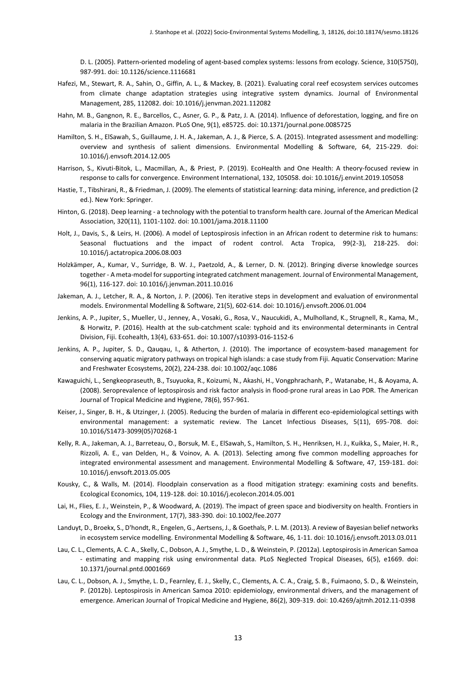D. L. (2005). Pattern-oriented modeling of agent-based complex systems: lessons from ecology. Science, 310(5750), 987-991. doi: 10.1126/science.1116681

- Hafezi, M., Stewart, R. A., Sahin, O., Giffin, A. L., & Mackey, B. (2021). Evaluating coral reef ecosystem services outcomes from climate change adaptation strategies using integrative system dynamics. Journal of Environmental Management, 285, 112082. doi: 10.1016/j.jenvman.2021.112082
- Hahn, M. B., Gangnon, R. E., Barcellos, C., Asner, G. P., & Patz, J. A. (2014). Influence of deforestation, logging, and fire on malaria in the Brazilian Amazon. PLoS One, 9(1), e85725. doi: 10.1371/journal.pone.0085725
- Hamilton, S. H., ElSawah, S., Guillaume, J. H. A., Jakeman, A. J., & Pierce, S. A. (2015). Integrated assessment and modelling: overview and synthesis of salient dimensions. Environmental Modelling & Software, 64, 215-229. doi: 10.1016/j.envsoft.2014.12.005
- Harrison, S., Kivuti-Bitok, L., Macmillan, A., & Priest, P. (2019). EcoHealth and One Health: A theory-focused review in response to calls for convergence. Environment International, 132, 105058. doi: 10.1016/j.envint.2019.105058
- Hastie, T., Tibshirani, R., & Friedman, J. (2009). The elements of statistical learning: data mining, inference, and prediction (2 ed.). New York: Springer.
- Hinton, G. (2018). Deep learning a technology with the potential to transform health care. Journal of the American Medical Association, 320(11), 1101-1102. doi: 10.1001/jama.2018.11100
- Holt, J., Davis, S., & Leirs, H. (2006). A model of Leptospirosis infection in an African rodent to determine risk to humans: Seasonal fluctuations and the impact of rodent control. Acta Tropica, 99(2-3), 218-225. doi: 10.1016/j.actatropica.2006.08.003
- Holzkämper, A., Kumar, V., Surridge, B. W. J., Paetzold, A., & Lerner, D. N. (2012). Bringing diverse knowledge sources together - A meta-model for supporting integrated catchment management. Journal of Environmental Management, 96(1), 116-127. doi: 10.1016/j.jenvman.2011.10.016
- Jakeman, A. J., Letcher, R. A., & Norton, J. P. (2006). Ten iterative steps in development and evaluation of environmental models. Environmental Modelling & Software, 21(5), 602-614. doi: 10.1016/j.envsoft.2006.01.004
- Jenkins, A. P., Jupiter, S., Mueller, U., Jenney, A., Vosaki, G., Rosa, V., Naucukidi, A., Mulholland, K., Strugnell, R., Kama, M., & Horwitz, P. (2016). Health at the sub-catchment scale: typhoid and its environmental determinants in Central Division, Fiji. Ecohealth, 13(4), 633-651. doi: 10.1007/s10393-016-1152-6
- Jenkins, A. P., Jupiter, S. D., Qauqau, I., & Atherton, J. (2010). The importance of ecosystem-based management for conserving aquatic migratory pathways on tropical high islands: a case study from Fiji. Aquatic Conservation: Marine and Freshwater Ecosystems, 20(2), 224-238. doi: 10.1002/aqc.1086
- Kawaguichi, L., Sengkeopraseuth, B., Tsuyuoka, R., Koizumi, N., Akashi, H., Vongphrachanh, P., Watanabe, H., & Aoyama, A. (2008). Seroprevalence of leptospirosis and risk factor analysis in flood-prone rural areas in Lao PDR. The American Journal of Tropical Medicine and Hygiene, 78(6), 957-961.
- Keiser, J., Singer, B. H., & Utzinger, J. (2005). Reducing the burden of malaria in different eco-epidemiological settings with environmental management: a systematic review. The Lancet Infectious Diseases, 5(11), 695-708. doi: 10.1016/S1473-3099(05)70268-1
- Kelly, R. A., Jakeman, A. J., Barreteau, O., Borsuk, M. E., ElSawah, S., Hamilton, S. H., Henriksen, H. J., Kuikka, S., Maier, H. R., Rizzoli, A. E., van Delden, H., & Voinov, A. A. (2013). Selecting among five common modelling approaches for integrated environmental assessment and management. Environmental Modelling & Software, 47, 159-181. doi: 10.1016/j.envsoft.2013.05.005
- Kousky, C., & Walls, M. (2014). Floodplain conservation as a flood mitigation strategy: examining costs and benefits. Ecological Economics, 104, 119-128. doi: 10.1016/j.ecolecon.2014.05.001
- Lai, H., Flies, E. J., Weinstein, P., & Woodward, A. (2019). The impact of green space and biodiversity on health. Frontiers in Ecology and the Environment, 17(7), 383-390. doi: 10.1002/fee.2077
- Landuyt, D., Broekx, S., D'hondt, R., Engelen, G., Aertsens, J., & Goethals, P. L. M. (2013). A review of Bayesian belief networks in ecosystem service modelling. Environmental Modelling & Software, 46, 1-11. doi: 10.1016/j.envsoft.2013.03.011
- Lau, C. L., Clements, A. C. A., Skelly, C., Dobson, A. J., Smythe, L. D., & Weinstein, P. (2012a). Leptospirosis in American Samoa - estimating and mapping risk using environmental data. PLoS Neglected Tropical Diseases, 6(5), e1669. doi: 10.1371/journal.pntd.0001669
- Lau, C. L., Dobson, A. J., Smythe, L. D., Fearnley, E. J., Skelly, C., Clements, A. C. A., Craig, S. B., Fuimaono, S. D., & Weinstein, P. (2012b). Leptospirosis in American Samoa 2010: epidemiology, environmental drivers, and the management of emergence. American Journal of Tropical Medicine and Hygiene, 86(2), 309-319. doi: 10.4269/ajtmh.2012.11-0398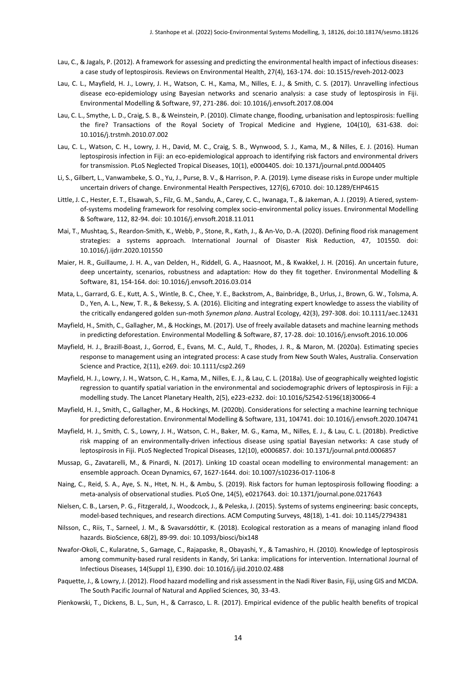- Lau, C., & Jagals, P. (2012). A framework for assessing and predicting the environmental health impact of infectious diseases: a case study of leptospirosis. Reviews on Environmental Health, 27(4), 163-174. doi: 10.1515/reveh-2012-0023
- Lau, C. L., Mayfield, H. J., Lowry, J. H., Watson, C. H., Kama, M., Nilles, E. J., & Smith, C. S. (2017). Unravelling infectious disease eco-epidemiology using Bayesian networks and scenario analysis: a case study of leptospirosis in Fiji. Environmental Modelling & Software, 97, 271-286. doi: 10.1016/j.envsoft.2017.08.004
- Lau, C. L., Smythe, L. D., Craig, S. B., & Weinstein, P. (2010). Climate change, flooding, urbanisation and leptospirosis: fuelling the fire? Transactions of the Royal Society of Tropical Medicine and Hygiene, 104(10), 631-638. doi: 10.1016/j.trstmh.2010.07.002
- Lau, C. L., Watson, C. H., Lowry, J. H., David, M. C., Craig, S. B., Wynwood, S. J., Kama, M., & Nilles, E. J. (2016). Human leptospirosis infection in Fiji: an eco-epidemiological approach to identifying risk factors and environmental drivers for transmission. PLoS Neglected Tropical Diseases, 10(1), e0004405. doi: 10.1371/journal.pntd.0004405
- Li, S., Gilbert, L., Vanwambeke, S. O., Yu, J., Purse, B. V., & Harrison, P. A. (2019). Lyme disease risks in Europe under multiple uncertain drivers of change. Environmental Health Perspectives, 127(6), 67010. doi: 10.1289/EHP4615
- Little, J. C., Hester, E. T., Elsawah, S., Filz, G. M., Sandu, A., Carey, C. C., Iwanaga, T., & Jakeman, A. J. (2019). A tiered, systemof-systems modeling framework for resolving complex socio-environmental policy issues. Environmental Modelling & Software, 112, 82-94. doi: 10.1016/j.envsoft.2018.11.011
- Mai, T., Mushtaq, S., Reardon-Smith, K., Webb, P., Stone, R., Kath, J., & An-Vo, D.-A. (2020). Defining flood risk management strategies: a systems approach. International Journal of Disaster Risk Reduction, 47, 101550. doi: 10.1016/j.ijdrr.2020.101550
- Maier, H. R., Guillaume, J. H. A., van Delden, H., Riddell, G. A., Haasnoot, M., & Kwakkel, J. H. (2016). An uncertain future, deep uncertainty, scenarios, robustness and adaptation: How do they fit together. Environmental Modelling & Software, 81, 154-164. doi: 10.1016/j.envsoft.2016.03.014
- Mata, L., Garrard, G. E., Kutt, A. S., Wintle, B. C., Chee, Y. E., Backstrom, A., Bainbridge, B., Urlus, J., Brown, G. W., Tolsma, A. D., Yen, A. L., New, T. R., & Bekessy, S. A. (2016). Eliciting and integrating expert knowledge to assess the viability of the critically endangered golden sun‐moth *Synemon plana*. Austral Ecology, 42(3), 297-308. doi: 10.1111/aec.12431
- Mayfield, H., Smith, C., Gallagher, M., & Hockings, M. (2017). Use of freely available datasets and machine learning methods in predicting deforestation. Environmental Modelling & Software, 87, 17-28. doi: 10.1016/j.envsoft.2016.10.006
- Mayfield, H. J., Brazill-Boast, J., Gorrod, E., Evans, M. C., Auld, T., Rhodes, J. R., & Maron, M. (2020a). Estimating species response to management using an integrated process: A case study from New South Wales, Australia. Conservation Science and Practice, 2(11), e269. doi: 10.1111/csp2.269
- Mayfield, H. J., Lowry, J. H., Watson, C. H., Kama, M., Nilles, E. J., & Lau, C. L. (2018a). Use of geographically weighted logistic regression to quantify spatial variation in the environmental and sociodemographic drivers of leptospirosis in Fiji: a modelling study. The Lancet Planetary Health, 2(5), e223-e232. doi: 10.1016/S2542-5196(18)30066-4
- Mayfield, H. J., Smith, C., Gallagher, M., & Hockings, M. (2020b). Considerations for selecting a machine learning technique for predicting deforestation. Environmental Modelling & Software, 131, 104741. doi: 10.1016/j.envsoft.2020.104741
- Mayfield, H. J., Smith, C. S., Lowry, J. H., Watson, C. H., Baker, M. G., Kama, M., Nilles, E. J., & Lau, C. L. (2018b). Predictive risk mapping of an environmentally-driven infectious disease using spatial Bayesian networks: A case study of leptospirosis in Fiji. PLoS Neglected Tropical Diseases, 12(10), e0006857. doi: 10.1371/journal.pntd.0006857
- Mussap, G., Zavatarelli, M., & Pinardi, N. (2017). Linking 1D coastal ocean modelling to environmental management: an ensemble approach. Ocean Dynamics, 67, 1627-1644. doi: 10.1007/s10236-017-1106-8
- Naing, C., Reid, S. A., Aye, S. N., Htet, N. H., & Ambu, S. (2019). Risk factors for human leptospirosis following flooding: a meta-analysis of observational studies. PLoS One, 14(5), e0217643. doi: 10.1371/journal.pone.0217643
- Nielsen, C. B., Larsen, P. G., Fitzgerald, J., Woodcock, J., & Peleska, J. (2015). Systems of systems engineering: basic concepts, model-based techniques, and research directions. ACM Computing Surveys, 48(18), 1-41. doi: 10.1145/2794381
- Nilsson, C., Riis, T., Sarneel, J. M., & Svavarsdóttir, K. (2018). Ecological restoration as a means of managing inland flood hazards. BioScience, 68(2), 89-99. doi: 10.1093/biosci/bix148
- Nwafor-Okoli, C., Kularatne, S., Gamage, C., Rajapaske, R., Obayashi, Y., & Tamashiro, H. (2010). Knowledge of leptospirosis among community-based rural residents in Kandy, Sri Lanka: implications for intervention. International Journal of Infectious Diseases, 14(Suppl 1), E390. doi: 10.1016/j.ijid.2010.02.488
- Paquette, J., & Lowry, J. (2012). Flood hazard modelling and risk assessment in the Nadi River Basin, Fiji, using GIS and MCDA. The South Pacific Journal of Natural and Applied Sciences, 30, 33-43.
- Pienkowski, T., Dickens, B. L., Sun, H., & Carrasco, L. R. (2017). Empirical evidence of the public health benefits of tropical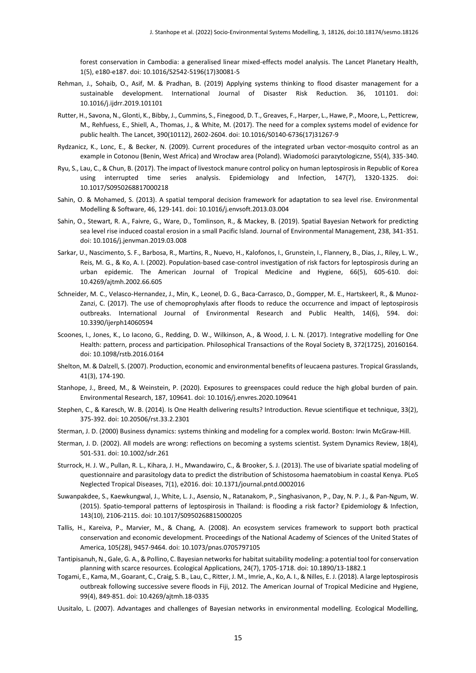forest conservation in Cambodia: a generalised linear mixed-effects model analysis. The Lancet Planetary Health, 1(5), e180-e187. doi: 10.1016/S2542-5196(17)30081-5

- Rehman, J., Sohaib, O., Asif, M. & Pradhan, B. (2019) Applying systems thinking to flood disaster management for a sustainable development. International Journal of Disaster Risk Reduction. 36, 101101. doi: 10.1016/j.ijdrr.2019.101101
- Rutter, H., Savona, N., Glonti, K., Bibby, J., Cummins, S., Finegood, D. T., Greaves, F., Harper, L., Hawe, P., Moore, L., Petticrew, M., Rehfuess, E., Shiell, A., Thomas, J., & White, M. (2017). The need for a complex systems model of evidence for public health. The Lancet, 390(10112), 2602-2604. doi: 10.1016/S0140-6736(17)31267-9
- Rydzanicz, K., Lonc, E., & Becker, N. (2009). Current procedures of the integrated urban vector-mosquito control as an example in Cotonou (Benin, West Africa) and Wrocław area (Poland). Wiadomości parazytologiczne, 55(4), 335-340.
- Ryu, S., Lau, C., & Chun, B. (2017). The impact of livestock manure control policy on human leptospirosis in Republic of Korea using interrupted time series analysis. Epidemiology and Infection, 147(7), 1320-1325. doi: 10.1017/S0950268817000218
- Sahin, O. & Mohamed, S. (2013). A spatial temporal decision framework for adaptation to sea level rise. Environmental Modelling & Software, 46, 129-141. doi: 10.1016/j.envsoft.2013.03.004
- Sahin, O., Stewart, R. A., Faivre, G., Ware, D., Tomlinson, R., & Mackey, B. (2019). Spatial Bayesian Network for predicting sea level rise induced coastal erosion in a small Pacific Island. Journal of Environmental Management, 238, 341-351. doi: 10.1016/j.jenvman.2019.03.008
- Sarkar, U., Nascimento, S. F., Barbosa, R., Martins, R., Nuevo, H., Kalofonos, I., Grunstein, I., Flannery, B., Dias, J., Riley, L. W., Reis, M. G., & Ko, A. I. (2002). Population-based case-control investigation of risk factors for leptospirosis during an urban epidemic. The American Journal of Tropical Medicine and Hygiene, 66(5), 605-610. doi: 10.4269/ajtmh.2002.66.605
- Schneider, M. C., Velasco-Hernandez, J., Min, K., Leonel, D. G., Baca-Carrasco, D., Gompper, M. E., Hartskeerl, R., & Munoz-Zanzi, C. (2017). The use of chemoprophylaxis after floods to reduce the occurrence and impact of leptospirosis outbreaks. International Journal of Environmental Research and Public Health, 14(6), 594. doi: 10.3390/ijerph14060594
- Scoones, I., Jones, K., Lo Iacono, G., Redding, D. W., Wilkinson, A., & Wood, J. L. N. (2017). Integrative modelling for One Health: pattern, process and participation. Philosophical Transactions of the Royal Society B, 372(1725), 20160164. doi: 10.1098/rstb.2016.0164
- Shelton, M. & Dalzell, S. (2007). Production, economic and environmental benefits of leucaena pastures. Tropical Grasslands, 41(3), 174-190.
- Stanhope, J., Breed, M., & Weinstein, P. (2020). Exposures to greenspaces could reduce the high global burden of pain. Environmental Research, 187, 109641. doi: 10.1016/j.envres.2020.109641
- Stephen, C., & Karesch, W. B. (2014). Is One Health delivering results? Introduction. Revue scientifique et technique, 33(2), 375-392. doi: 10.20506/rst.33.2.2301
- Sterman, J. D. (2000) Business dynamics: systems thinking and modeling for a complex world. Boston: Irwin McGraw-Hill.
- Sterman, J. D. (2002). All models are wrong: reflections on becoming a systems scientist. System Dynamics Review, 18(4), 501-531. doi: 10.1002/sdr.261
- Sturrock, H. J. W., Pullan, R. L., Kihara, J. H., Mwandawiro, C., & Brooker, S. J. (2013). The use of bivariate spatial modeling of questionnaire and parasitology data to predict the distribution of Schistosoma haematobium in coastal Kenya. PLoS Neglected Tropical Diseases, 7(1), e2016. doi: 10.1371/journal.pntd.0002016
- Suwanpakdee, S., Kaewkungwal, J., White, L. J., Asensio, N., Ratanakom, P., Singhasivanon, P., Day, N. P. J., & Pan-Ngum, W. (2015). Spatio-temporal patterns of leptospirosis in Thailand: is flooding a risk factor? Epidemiology & Infection, 143(10), 2106-2115. doi: 10.1017/S0950268815000205
- Tallis, H., Kareiva, P., Marvier, M., & Chang, A. (2008). An ecosystem services framework to support both practical conservation and economic development. Proceedings of the National Academy of Sciences of the United States of America, 105(28), 9457-9464. doi: 10.1073/pnas.0705797105
- Tantipisanuh, N., Gale, G. A., & Pollino, C. Bayesian networks for habitat suitability modeling: a potential tool for conservation planning with scarce resources. Ecological Applications, 24(7), 1705-1718. doi: 10.1890/13-1882.1
- Togami, E., Kama, M., Goarant, C., Craig, S. B., Lau, C., Ritter, J. M., Imrie, A., Ko, A. I., & Nilles, E. J. (2018). A large leptospirosis outbreak following successive severe floods in Fiji, 2012. The American Journal of Tropical Medicine and Hygiene, 99(4), 849-851. doi: 10.4269/ajtmh.18-0335
- Uusitalo, L. (2007). Advantages and challenges of Bayesian networks in environmental modelling. Ecological Modelling,